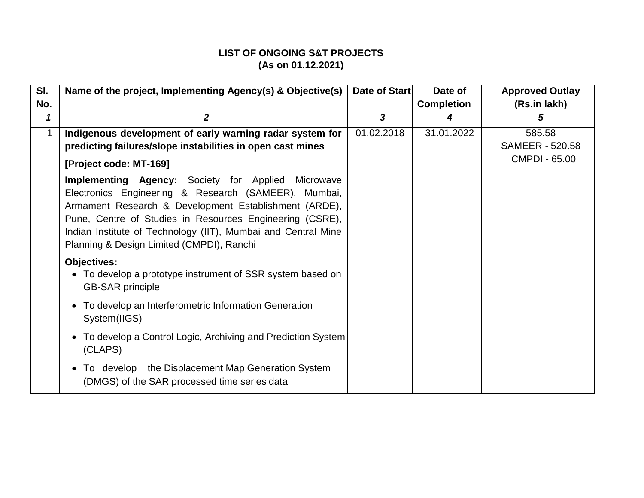| SI. | Name of the project, Implementing Agency(s) & Objective(s)                                                                                                                                                                                                                                                                                           | Date of Start | Date of           | <b>Approved Outlay</b>           |
|-----|------------------------------------------------------------------------------------------------------------------------------------------------------------------------------------------------------------------------------------------------------------------------------------------------------------------------------------------------------|---------------|-------------------|----------------------------------|
| No. |                                                                                                                                                                                                                                                                                                                                                      |               | <b>Completion</b> | (Rs.in lakh)                     |
| 1   | $\overline{2}$                                                                                                                                                                                                                                                                                                                                       | 3             | 4                 | 5                                |
| 1   | Indigenous development of early warning radar system for<br>predicting failures/slope instabilities in open cast mines                                                                                                                                                                                                                               | 01.02.2018    | 31.01.2022        | 585.58<br><b>SAMEER - 520.58</b> |
|     | [Project code: MT-169]                                                                                                                                                                                                                                                                                                                               |               |                   | <b>CMPDI - 65.00</b>             |
|     | <b>Implementing Agency:</b> Society for Applied Microwave<br>Electronics Engineering & Research (SAMEER), Mumbai,<br>Armament Research & Development Establishment (ARDE),<br>Pune, Centre of Studies in Resources Engineering (CSRE),<br>Indian Institute of Technology (IIT), Mumbai and Central Mine<br>Planning & Design Limited (CMPDI), Ranchi |               |                   |                                  |
|     | <b>Objectives:</b><br>• To develop a prototype instrument of SSR system based on<br><b>GB-SAR principle</b>                                                                                                                                                                                                                                          |               |                   |                                  |
|     | To develop an Interferometric Information Generation<br>$\bullet$<br>System(IIGS)                                                                                                                                                                                                                                                                    |               |                   |                                  |
|     | To develop a Control Logic, Archiving and Prediction System<br>(CLAPS)                                                                                                                                                                                                                                                                               |               |                   |                                  |
|     | To develop the Displacement Map Generation System<br>(DMGS) of the SAR processed time series data                                                                                                                                                                                                                                                    |               |                   |                                  |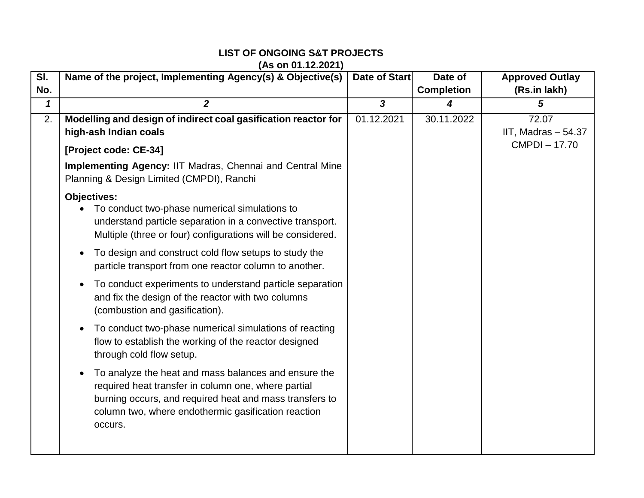| $\overline{\mathsf{SI}.}$ | Name of the project, Implementing Agency(s) & Objective(s)                                                                                                                                                                                            | Date of Start  | Date of           | <b>Approved Outlay</b> |
|---------------------------|-------------------------------------------------------------------------------------------------------------------------------------------------------------------------------------------------------------------------------------------------------|----------------|-------------------|------------------------|
| No.                       |                                                                                                                                                                                                                                                       |                | <b>Completion</b> | (Rs.in lakh)           |
| $\mathbf 1$               | $\overline{2}$                                                                                                                                                                                                                                        | $\overline{3}$ | 4                 | 5                      |
| 2.                        | Modelling and design of indirect coal gasification reactor for                                                                                                                                                                                        | 01.12.2021     | 30.11.2022        | 72.07                  |
|                           | high-ash Indian coals                                                                                                                                                                                                                                 |                |                   | IIT, Madras $-54.37$   |
|                           | [Project code: CE-34]                                                                                                                                                                                                                                 |                |                   | <b>CMPDI-17.70</b>     |
|                           | <b>Implementing Agency: IIT Madras, Chennai and Central Mine</b><br>Planning & Design Limited (CMPDI), Ranchi                                                                                                                                         |                |                   |                        |
|                           | <b>Objectives:</b><br>To conduct two-phase numerical simulations to<br>understand particle separation in a convective transport.<br>Multiple (three or four) configurations will be considered.                                                       |                |                   |                        |
|                           | To design and construct cold flow setups to study the<br>$\bullet$<br>particle transport from one reactor column to another.                                                                                                                          |                |                   |                        |
|                           | To conduct experiments to understand particle separation<br>$\bullet$<br>and fix the design of the reactor with two columns<br>(combustion and gasification).                                                                                         |                |                   |                        |
|                           | To conduct two-phase numerical simulations of reacting<br>$\bullet$<br>flow to establish the working of the reactor designed<br>through cold flow setup.                                                                                              |                |                   |                        |
|                           | To analyze the heat and mass balances and ensure the<br>$\bullet$<br>required heat transfer in column one, where partial<br>burning occurs, and required heat and mass transfers to<br>column two, where endothermic gasification reaction<br>occurs. |                |                   |                        |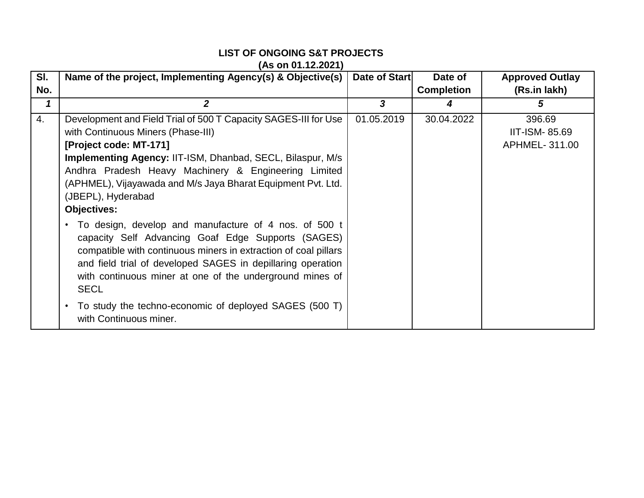| SI. | Name of the project, Implementing Agency(s) & Objective(s)                                                                                                                                                                                                                                                                                                                                                                                                                                                                                                                                                                                                                                                                                                                               | Date of Start | Date of           | <b>Approved Outlay</b>                          |
|-----|------------------------------------------------------------------------------------------------------------------------------------------------------------------------------------------------------------------------------------------------------------------------------------------------------------------------------------------------------------------------------------------------------------------------------------------------------------------------------------------------------------------------------------------------------------------------------------------------------------------------------------------------------------------------------------------------------------------------------------------------------------------------------------------|---------------|-------------------|-------------------------------------------------|
| No. |                                                                                                                                                                                                                                                                                                                                                                                                                                                                                                                                                                                                                                                                                                                                                                                          |               | <b>Completion</b> | (Rs.in lakh)                                    |
| 1   | 2                                                                                                                                                                                                                                                                                                                                                                                                                                                                                                                                                                                                                                                                                                                                                                                        | 3             | 4                 | 5                                               |
| 4.  | Development and Field Trial of 500 T Capacity SAGES-III for Use<br>with Continuous Miners (Phase-III)<br>[Project code: MT-171]<br><b>Implementing Agency: IIT-ISM, Dhanbad, SECL, Bilaspur, M/s</b><br>Andhra Pradesh Heavy Machinery & Engineering Limited<br>(APHMEL), Vijayawada and M/s Jaya Bharat Equipment Pvt. Ltd.<br>(JBEPL), Hyderabad<br><b>Objectives:</b><br>To design, develop and manufacture of 4 nos. of 500 t<br>capacity Self Advancing Goaf Edge Supports (SAGES)<br>compatible with continuous miners in extraction of coal pillars<br>and field trial of developed SAGES in depillaring operation<br>with continuous miner at one of the underground mines of<br><b>SECL</b><br>To study the techno-economic of deployed SAGES (500 T)<br>with Continuous miner. | 01.05.2019    | 30.04.2022        | 396.69<br><b>IIT-ISM-85.69</b><br>APHMEL-311.00 |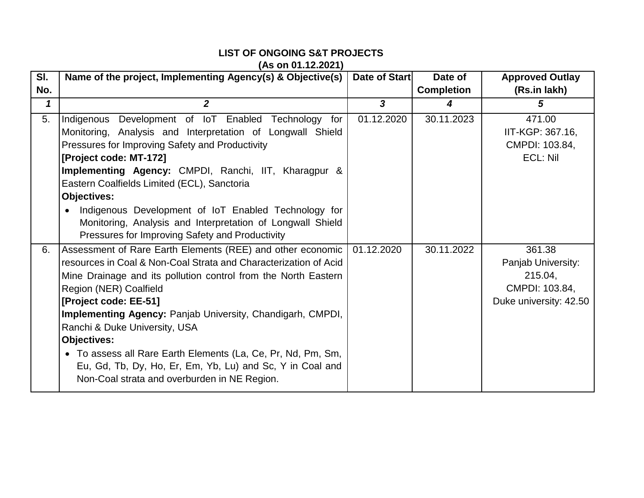| SI. | Name of the project, Implementing Agency(s) & Objective(s)                                                                                                                                                                                                                                                                                                                                                                                                                                                                                                   | Date of Start           | Date of           | <b>Approved Outlay</b>                                                              |
|-----|--------------------------------------------------------------------------------------------------------------------------------------------------------------------------------------------------------------------------------------------------------------------------------------------------------------------------------------------------------------------------------------------------------------------------------------------------------------------------------------------------------------------------------------------------------------|-------------------------|-------------------|-------------------------------------------------------------------------------------|
| No. |                                                                                                                                                                                                                                                                                                                                                                                                                                                                                                                                                              |                         | <b>Completion</b> | (Rs.in lakh)                                                                        |
| 1   | $\overline{2}$                                                                                                                                                                                                                                                                                                                                                                                                                                                                                                                                               | $\overline{\mathbf{3}}$ | 4                 | 5                                                                                   |
| 5.  | Indigenous Development of IoT Enabled Technology for<br>Monitoring, Analysis and Interpretation of Longwall Shield<br>Pressures for Improving Safety and Productivity<br>[Project code: MT-172]<br>Implementing Agency: CMPDI, Ranchi, IIT, Kharagpur &<br>Eastern Coalfields Limited (ECL), Sanctoria<br><b>Objectives:</b><br>Indigenous Development of IoT Enabled Technology for<br>Monitoring, Analysis and Interpretation of Longwall Shield<br>Pressures for Improving Safety and Productivity                                                        | 01.12.2020              | 30.11.2023        | 471.00<br>IIT-KGP: 367.16,<br>CMPDI: 103.84,<br>ECL: Nil                            |
| 6.  | Assessment of Rare Earth Elements (REE) and other economic<br>resources in Coal & Non-Coal Strata and Characterization of Acid<br>Mine Drainage and its pollution control from the North Eastern<br>Region (NER) Coalfield<br>[Project code: EE-51]<br><b>Implementing Agency: Panjab University, Chandigarh, CMPDI,</b><br>Ranchi & Duke University, USA<br><b>Objectives:</b><br>• To assess all Rare Earth Elements (La, Ce, Pr, Nd, Pm, Sm,<br>Eu, Gd, Tb, Dy, Ho, Er, Em, Yb, Lu) and Sc, Y in Coal and<br>Non-Coal strata and overburden in NE Region. | 01.12.2020              | 30.11.2022        | 361.38<br>Panjab University:<br>215.04,<br>CMPDI: 103.84,<br>Duke university: 42.50 |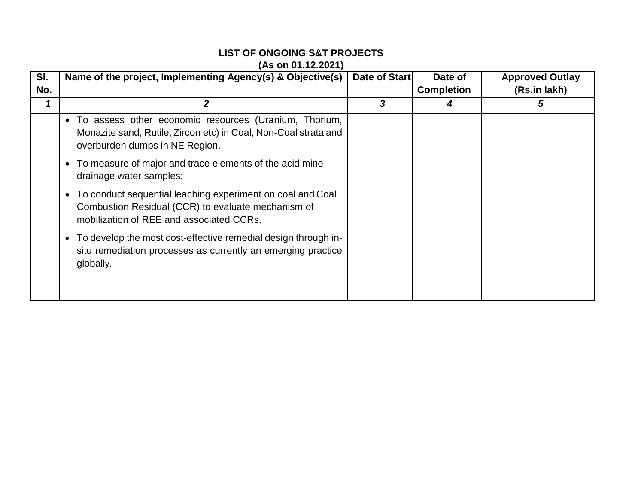| SI. | Name of the project, Implementing Agency(s) & Objective(s)                                                                                                     | Date of Start | Date of           | <b>Approved Outlay</b> |
|-----|----------------------------------------------------------------------------------------------------------------------------------------------------------------|---------------|-------------------|------------------------|
| No. |                                                                                                                                                                |               | <b>Completion</b> | (Rs.in lakh)           |
|     |                                                                                                                                                                | 3             |                   | 5                      |
|     | • To assess other economic resources (Uranium, Thorium,<br>Monazite sand, Rutile, Zircon etc) in Coal, Non-Coal strata and<br>overburden dumps in NE Region.   |               |                   |                        |
|     | • To measure of major and trace elements of the acid mine<br>drainage water samples;                                                                           |               |                   |                        |
|     | • To conduct sequential leaching experiment on coal and Coal<br>Combustion Residual (CCR) to evaluate mechanism of<br>mobilization of REE and associated CCRs. |               |                   |                        |
|     | • To develop the most cost-effective remedial design through in-<br>situ remediation processes as currently an emerging practice<br>globally.                  |               |                   |                        |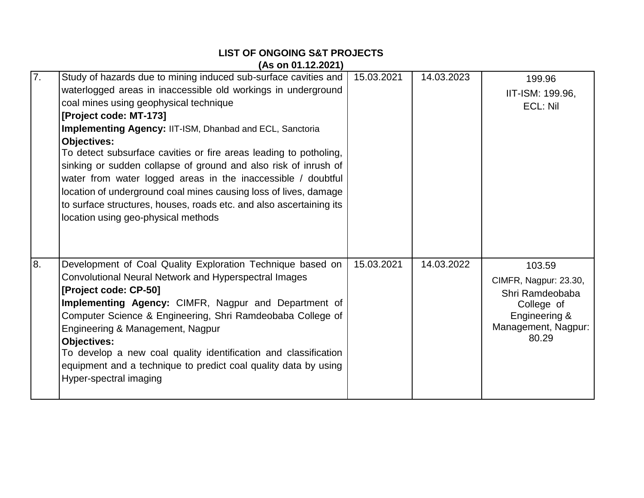|    | ,,,,,,,,,,,,,,,,,                                                   |            |            |                       |
|----|---------------------------------------------------------------------|------------|------------|-----------------------|
| 7. | Study of hazards due to mining induced sub-surface cavities and     | 15.03.2021 | 14.03.2023 | 199.96                |
|    | waterlogged areas in inaccessible old workings in underground       |            |            | IIT-ISM: 199.96,      |
|    | coal mines using geophysical technique                              |            |            | ECL: Nil              |
|    | [Project code: MT-173]                                              |            |            |                       |
|    | Implementing Agency: IIT-ISM, Dhanbad and ECL, Sanctoria            |            |            |                       |
|    | <b>Objectives:</b>                                                  |            |            |                       |
|    | To detect subsurface cavities or fire areas leading to potholing,   |            |            |                       |
|    | sinking or sudden collapse of ground and also risk of inrush of     |            |            |                       |
|    | water from water logged areas in the inaccessible / doubtful        |            |            |                       |
|    | location of underground coal mines causing loss of lives, damage    |            |            |                       |
|    | to surface structures, houses, roads etc. and also ascertaining its |            |            |                       |
|    | location using geo-physical methods                                 |            |            |                       |
|    |                                                                     |            |            |                       |
|    |                                                                     |            |            |                       |
| 8. | Development of Coal Quality Exploration Technique based on          | 15.03.2021 | 14.03.2022 | 103.59                |
|    | Convolutional Neural Network and Hyperspectral Images               |            |            | CIMFR, Nagpur: 23.30, |
|    | [Project code: CP-50]                                               |            |            | Shri Ramdeobaba       |
|    | Implementing Agency: CIMFR, Nagpur and Department of                |            |            | College of            |
|    | Computer Science & Engineering, Shri Ramdeobaba College of          |            |            | Engineering &         |
|    | Engineering & Management, Nagpur                                    |            |            | Management, Nagpur:   |
|    | <b>Objectives:</b>                                                  |            |            | 80.29                 |
|    | To develop a new coal quality identification and classification     |            |            |                       |
|    | equipment and a technique to predict coal quality data by using     |            |            |                       |
|    | Hyper-spectral imaging                                              |            |            |                       |
|    |                                                                     |            |            |                       |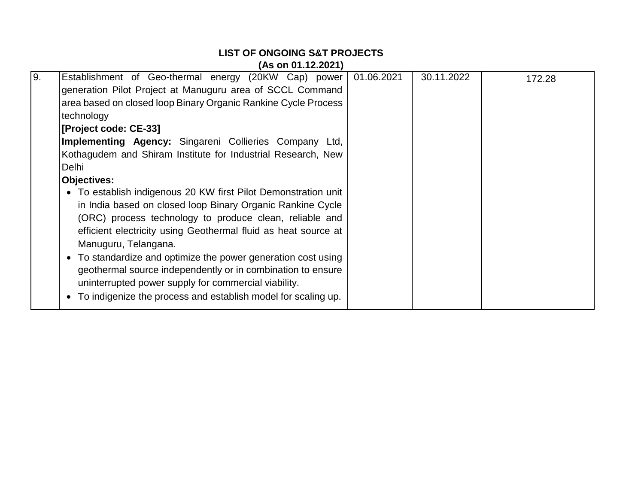# **LIST OF ONGOING S&T PROJECTS (As on 01.12.2021)** 9. Establishment of Geo-thermal energy (20KW Cap) power generation Pilot Project at Manuguru area of SCCL Command area based on closed loop Binary Organic Rankine Cycle Process technology **[Project code: CE-33] Implementing Agency:** Singareni Collieries Company Ltd, Kothagudem and Shiram Institute for Industrial Research, New Delhi **Objectives:** To establish indigenous 20 KW first Pilot Demonstration unit in India based on closed loop Binary Organic Rankine Cycle (ORC) process technology to produce clean, reliable and efficient electricity using Geothermal fluid as heat source at Manuguru, Telangana. • To standardize and optimize the power generation cost using geothermal source independently or in combination to ensure uninterrupted power supply for commercial viability. • To indigenize the process and establish model for scaling up. 01.06.2021 30.11.2022 172.28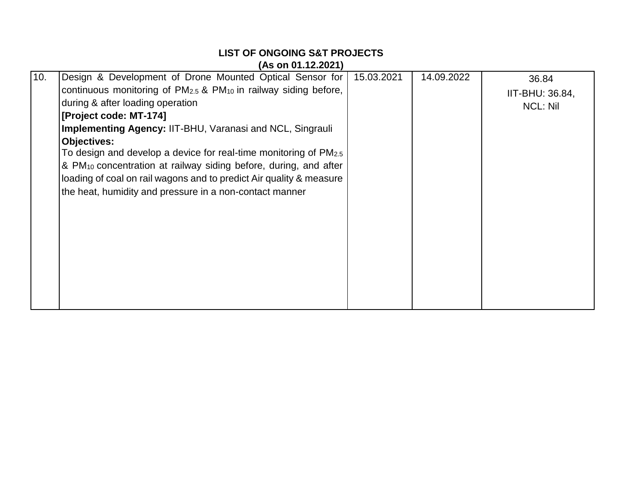| (As on 01.12.2021) |                                                                                         |            |            |                 |
|--------------------|-----------------------------------------------------------------------------------------|------------|------------|-----------------|
| 10.                | Design & Development of Drone Mounted Optical Sensor for                                | 15.03.2021 | 14.09.2022 | 36.84           |
|                    | continuous monitoring of PM <sub>2.5</sub> & PM <sub>10</sub> in railway siding before, |            |            | IIT-BHU: 36.84, |
|                    | during & after loading operation                                                        |            |            | <b>NCL: Nil</b> |
|                    | [Project code: MT-174]                                                                  |            |            |                 |
|                    | <b>Implementing Agency: IIT-BHU, Varanasi and NCL, Singrauli</b>                        |            |            |                 |
|                    | <b>Objectives:</b>                                                                      |            |            |                 |
|                    | To design and develop a device for real-time monitoring of $PM2.5$                      |            |            |                 |
|                    | & PM <sub>10</sub> concentration at railway siding before, during, and after            |            |            |                 |
|                    | loading of coal on rail wagons and to predict Air quality & measure                     |            |            |                 |
|                    | the heat, humidity and pressure in a non-contact manner                                 |            |            |                 |
|                    |                                                                                         |            |            |                 |
|                    |                                                                                         |            |            |                 |
|                    |                                                                                         |            |            |                 |
|                    |                                                                                         |            |            |                 |
|                    |                                                                                         |            |            |                 |
|                    |                                                                                         |            |            |                 |
|                    |                                                                                         |            |            |                 |
|                    |                                                                                         |            |            |                 |
|                    |                                                                                         |            |            |                 |

**LIST OF ONGOING S&T PROJECTS**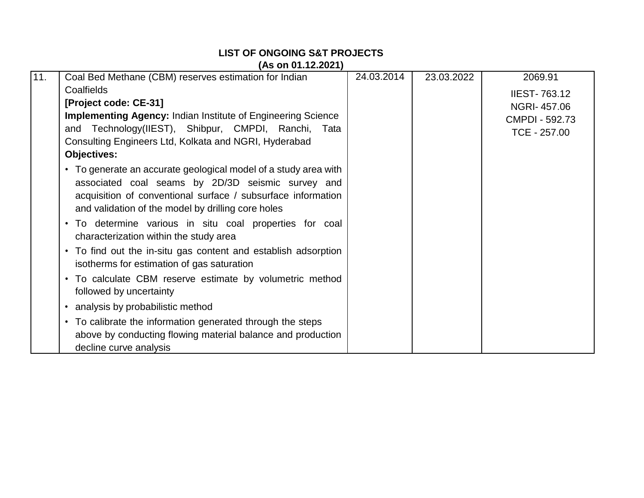| 11. | Coal Bed Methane (CBM) reserves estimation for Indian                                                                                                                                                                                      | 24.03.2014 | 23.03.2022 | 2069.91             |
|-----|--------------------------------------------------------------------------------------------------------------------------------------------------------------------------------------------------------------------------------------------|------------|------------|---------------------|
|     | Coalfields                                                                                                                                                                                                                                 |            |            | <b>IIEST-763.12</b> |
|     | [Project code: CE-31]                                                                                                                                                                                                                      |            |            | NGRI-457.06         |
|     | <b>Implementing Agency: Indian Institute of Engineering Science</b>                                                                                                                                                                        |            |            | CMPDI - 592.73      |
|     | and Technology(IIEST), Shibpur, CMPDI, Ranchi, Tata                                                                                                                                                                                        |            |            | TCE - 257.00        |
|     | Consulting Engineers Ltd, Kolkata and NGRI, Hyderabad                                                                                                                                                                                      |            |            |                     |
|     | <b>Objectives:</b>                                                                                                                                                                                                                         |            |            |                     |
|     | • To generate an accurate geological model of a study area with<br>associated coal seams by 2D/3D seismic survey and<br>acquisition of conventional surface / subsurface information<br>and validation of the model by drilling core holes |            |            |                     |
|     | • To determine various in situ coal properties for coal<br>characterization within the study area                                                                                                                                          |            |            |                     |
|     | • To find out the in-situ gas content and establish adsorption<br>isotherms for estimation of gas saturation                                                                                                                               |            |            |                     |
|     | • To calculate CBM reserve estimate by volumetric method<br>followed by uncertainty                                                                                                                                                        |            |            |                     |
|     | • analysis by probabilistic method                                                                                                                                                                                                         |            |            |                     |
|     | • To calibrate the information generated through the steps<br>above by conducting flowing material balance and production<br>decline curve analysis                                                                                        |            |            |                     |